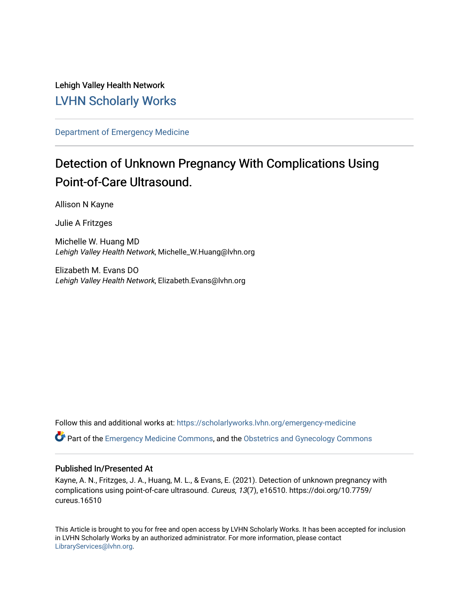Lehigh Valley Health Network [LVHN Scholarly Works](https://scholarlyworks.lvhn.org/)

[Department of Emergency Medicine](https://scholarlyworks.lvhn.org/emergency-medicine)

# Detection of Unknown Pregnancy With Complications Using Point-of-Care Ultrasound.

Allison N Kayne

Julie A Fritzges

Michelle W. Huang MD Lehigh Valley Health Network, Michelle\_W.Huang@lvhn.org

Elizabeth M. Evans DO Lehigh Valley Health Network, Elizabeth.Evans@lvhn.org

Follow this and additional works at: [https://scholarlyworks.lvhn.org/emergency-medicine](https://scholarlyworks.lvhn.org/emergency-medicine?utm_source=scholarlyworks.lvhn.org%2Femergency-medicine%2F678&utm_medium=PDF&utm_campaign=PDFCoverPages)  Part of the [Emergency Medicine Commons](https://network.bepress.com/hgg/discipline/685?utm_source=scholarlyworks.lvhn.org%2Femergency-medicine%2F678&utm_medium=PDF&utm_campaign=PDFCoverPages), and the [Obstetrics and Gynecology Commons](https://network.bepress.com/hgg/discipline/693?utm_source=scholarlyworks.lvhn.org%2Femergency-medicine%2F678&utm_medium=PDF&utm_campaign=PDFCoverPages) 

#### Published In/Presented At

Kayne, A. N., Fritzges, J. A., Huang, M. L., & Evans, E. (2021). Detection of unknown pregnancy with complications using point-of-care ultrasound. Cureus, 13(7), e16510. https://doi.org/10.7759/ cureus.16510

This Article is brought to you for free and open access by LVHN Scholarly Works. It has been accepted for inclusion in LVHN Scholarly Works by an authorized administrator. For more information, please contact [LibraryServices@lvhn.org](mailto:LibraryServices@lvhn.org).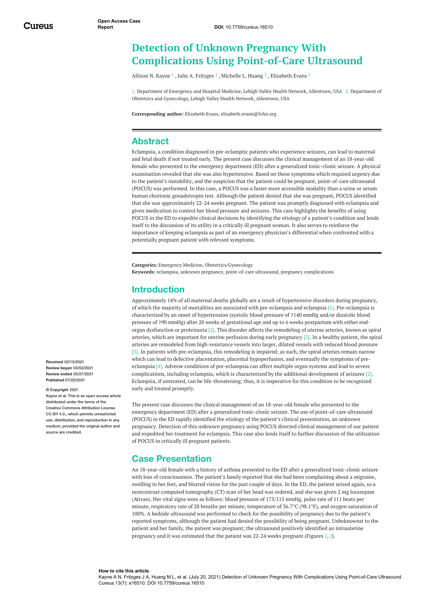## <span id="page-1-0"></span>**Detection of Unknown Pregnancy With Complications Using Point-of-Care Ultrasound**

[Allison](https://www.cureus.com/users/204889-allison-n-kayne) N. Kayne  $^1$  , Julie A. [Fritzges](https://www.cureus.com/users/223187-julie-fritzges)  $^1$  , [Michelle](https://www.cureus.com/users/223188-michelle-w-huang) L. Huang  $^2$  , [Elizabeth](https://www.cureus.com/users/206361-elizabeth-evans) Evans  $^1$ 

1. Department of Emergency and Hospital Medicine, Lehigh Valley Health Network, Allentown, USA 2. Department of Obstetrics and Gynecology, Lehigh Valley Health Network, Allentown, USA

**Corresponding author:** Elizabeth Evans, elizabeth.evans@lvhn.org

#### **Abstract**

Eclampsia, a condition diagnosed in pre-eclamptic patients who experience seizures, can lead to maternal and fetal death if not treated early. The present case discusses the clinical management of an 18-year-old female who presented to the emergency department (ED) after a generalized tonic-clonic seizure. A physical examination revealed that she was also hypertensive. Based on these symptoms which required urgency due to the patient's instability, and the suspicion that the patient could be pregnant, point-of-care ultrasound (POCUS) was performed. In this case, a POCUS was a faster more accessible modality than a urine or serum human chorionic gonadotropin test. Although the patient denied that she was pregnant, POCUS identified that she was approximately 22-24 weeks pregnant. The patient was promptly diagnosed with eclampsia and given medication to control her blood pressure and seizures. This case highlights the benefits of using POCUS in the ED to expedite clinical decisions by identifying the etiology of a patient's condition and lends itself to the discussion of its utility in a critically ill pregnant woman. It also serves to reinforce the importance of keeping eclampsia as part of an emergency physician's differential when confronted with a potentially pregnant patient with relevant symptoms.

<span id="page-1-1"></span>**Categories:** Emergency Medicine, Obstetrics/Gynecology **Keywords:** eclampsia, unknown pregnancy, point-of-care ultrasound, pregnancy complications

#### **Introduction**

Approximately 14% of all maternal deaths globally are a result of hypertensive disorders during pregnancy, of which the majority of mortalities are associated with pre-eclampsia and eclampsia [1]. Pre-eclampsia is characterized by an onset of hypertension (systolic blood pressure of ≥140 mmHg and/or diastolic blood pressure of ≥90 mmHg) after 20 weeks of gestational age and up to 6 weeks postpartum with either endorgan dysfunction or proteinuria [2]. This disorder affects the remodeling of uterine arteries, known as spiral arteries, which are important for uterine perfusion during early pregnancy [3]. In a healthy patient, the spiral arteries are remodeled from high-resistance vessels into larger, dilated vessels with reduced blood pressure [3]. In patients with pre-eclampsia, this remodeling is impaired; as such, the spiral arteries remain narrow which can lead to defective placentation, placental hypoperfusion, and eventually the symptoms of preeclampsia [4]. Adverse conditions of pre-eclampsia can affect multiple organ systems and lead to severe complications, including eclampsia, which is characterized by the additional development of seizures [2]. Eclampsia, if untreated, can be life-threatening; thus, it is imperative for this condition to be recognized early and treated promptly.

The present case discusses the clinical management of an 18-year-old female who presented to the emergency department (ED) after a generalized tonic-clonic seizure. The use of point-of-care ultrasound (POCUS) in the ED rapidly identified the etiology of the patient's clinical presentation, an unknown pregnancy. Detection of this unknown pregnancy using POCUS directed clinical management of our patient and expedited her treatment for eclampsia. This case also lends itself to further discussion of the utilization of POCUS in critically ill pregnant patients.

#### **Case Presentation**

An 18-year-old female with a history of asthma presented to the ED after a generalized tonic-clonic seizure with loss of consciousness. The patient's family reported that she had been complaining about a migraine, swelling in her feet, and blurred vision for the past couple of days. In the ED, the patient seized again, so a noncontrast computed tomography (CT) scan of her head was ordered, and she was given 2 mg lorazepam (Ativan). Her vital signs were as follows: blood pressure of 175/115 mmHg, pulse rate of 111 beats per minute, respiratory rate of 28 breaths per minute, temperature of 36.7°C (98.1°F), and oxygen saturation of 100%. A bedside ultrasound was performed to check for the possibility of pregnancy due to the patient's reported symptoms, although the patient had denied the possibility of being pregnant. Unbeknownst to the patient and her family, the patient was pregnant; the ultrasound positively identified an intrauterine pregnancy and it was estimated that the patient was 22-24 weeks pregnant (Figures *[1](#page-1-0)*, *[2](#page-1-1)*).

**Received** 02/15/2021 **Review began** 03/02/2021 **Review ended** 05/27/2021 **Published** 07/20/2021

#### **© Copyright** 2021

Kayne et al. This is an open access article distributed under the terms of the Creative Commons Attribution License CC-BY 4.0., which permits unrestricted use, distribution, and reproduction in any medium, provided the original author and source are credited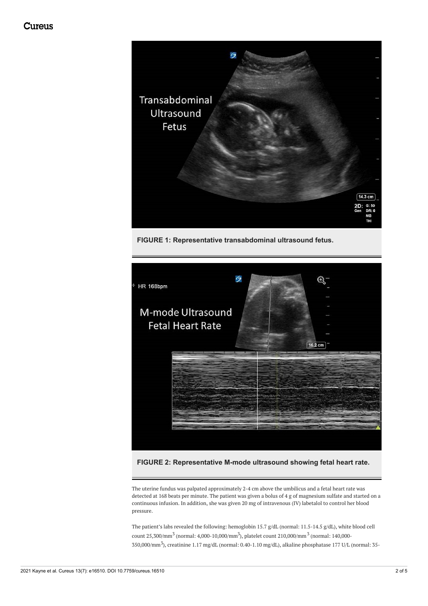<span id="page-2-0"></span>

**FIGURE 1: Representative transabdominal ultrasound fetus.**



#### **FIGURE 2: Representative M-mode ultrasound showing fetal heart rate.**

The uterine fundus was palpated approximately 2-4 cm above the umbilicus and a fetal heart rate was detected at 168 beats per minute. The patient was given a bolus of 4 g of magnesium sulfate and started on a continuous infusion. In addition, she was given 20 mg of intravenous (IV) labetalol to control her blood pressure.

The patient's labs revealed the following: hemoglobin 15.7 g/dL (normal: 11.5-14.5 g/dL), white blood cell count 25,300/mm<sup>3</sup> (normal: 4,000-10,000/mm<sup>3</sup>), platelet count 210,000/mm<sup>3</sup> (normal: 140,000-350,000/mm<sup>3</sup> ), creatinine 1.17 mg/dL (normal: 0.40-1.10 mg/dL), alkaline phosphatase 177 U/L (normal: 35-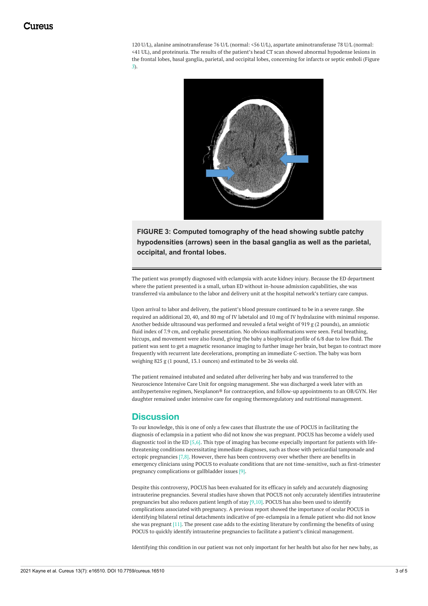120 U/L), alanine aminotransferase 76 U/L (normal: <56 U/L), aspartate aminotransferase 78 U/L (normal: <41 UL), and proteinuria. The results of the patient's head CT scan showed abnormal hypodense lesions in the frontal lobes, basal ganglia, parietal, and occipital lobes, concerning for infarcts or septic emboli (Figure *[3](#page-2-0)*).



**FIGURE 3: Computed tomography of the head showing subtle patchy hypodensities (arrows) seen in the basal ganglia as well as the parietal, occipital, and frontal lobes.**

The patient was promptly diagnosed with eclampsia with acute kidney injury. Because the ED department where the patient presented is a small, urban ED without in-house admission capabilities, she was transferred via ambulance to the labor and delivery unit at the hospital network's tertiary care campus.

Upon arrival to labor and delivery, the patient's blood pressure continued to be in a severe range. She required an additional 20, 40, and 80 mg of IV labetalol and 10 mg of IV hydralazine with minimal response. Another bedside ultrasound was performed and revealed a fetal weight of 919 g (2 pounds), an amniotic fluid index of 7.9 cm, and cephalic presentation. No obvious malformations were seen. Fetal breathing, hiccups, and movement were also found, giving the baby a biophysical profile of 6/8 due to low fluid. The patient was sent to get a magnetic resonance imaging to further image her brain, but began to contract more frequently with recurrent late decelerations, prompting an immediate C-section. The baby was born weighing 825 g (1 pound, 13.1 ounces) and estimated to be 26 weeks old.

The patient remained intubated and sedated after delivering her baby and was transferred to the Neuroscience Intensive Care Unit for ongoing management. She was discharged a week later with an antihypertensive regimen, Nexplanon® for contraception, and follow-up appointments to an OB/GYN. Her daughter remained under intensive care for ongoing thermoregulatory and nutritional management.

#### **Discussion**

To our knowledge, this is one of only a few cases that illustrate the use of POCUS in facilitating the diagnosis of eclampsia in a patient who did not know she was pregnant. POCUS has become a widely used diagnostic tool in the ED [5,6]. This type of imaging has become especially important for patients with lifethreatening conditions necessitating immediate diagnoses, such as those with pericardial tamponade and ectopic pregnancies [7,8]. However, there has been controversy over whether there are benefits in emergency clinicians using POCUS to evaluate conditions that are not time-sensitive, such as first-trimester pregnancy complications or gallbladder issues [9].

Despite this controversy, POCUS has been evaluated for its efficacy in safely and accurately diagnosing intrauterine pregnancies. Several studies have shown that POCUS not only accurately identifies intrauterine pregnancies but also reduces patient length of stay  $[9,10]$ . POCUS has also been used to identify complications associated with pregnancy. A previous report showed the importance of ocular POCUS in identifying bilateral retinal detachments indicative of pre-eclampsia in a female patient who did not know she was pregnant [11]. The present case adds to the existing literature by confirming the benefits of using POCUS to quickly identify intrauterine pregnancies to facilitate a patient's clinical management.

Identifying this condition in our patient was not only important for her health but also for her new baby, as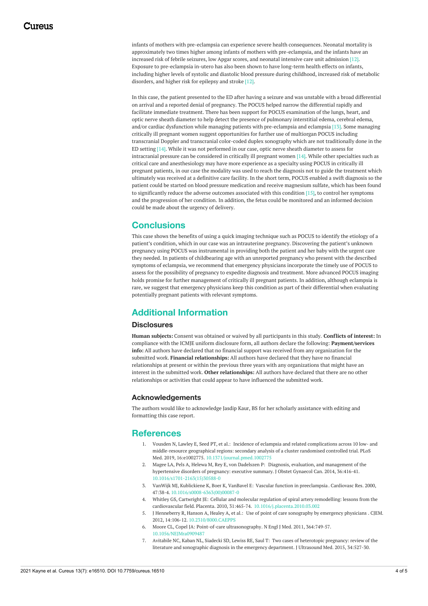infants of mothers with pre-eclampsia can experience severe health consequences. Neonatal mortality is approximately two times higher among infants of mothers with pre-eclampsia, and the infants have an increased risk of febrile seizures, low Apgar scores, and neonatal intensive care unit admission [12]. Exposure to pre-eclampsia in-utero has also been shown to have long-term health effects on infants, including higher levels of systolic and diastolic blood pressure during childhood, increased risk of metabolic disorders, and higher risk for epilepsy and stroke [12].

In this case, the patient presented to the ED after having a seizure and was unstable with a broad differential on arrival and a reported denial of pregnancy. The POCUS helped narrow the differential rapidly and facilitate immediate treatment. There has been support for POCUS examination of the lungs, heart, and optic nerve sheath diameter to help detect the presence of pulmonary interstitial edema, cerebral edema, and/or cardiac dysfunction while managing patients with pre-eclampsia and eclampsia [13]. Some managing critically ill pregnant women suggest opportunities for further use of multiorgan POCUS including transcranial Doppler and transcranial color-coded duplex sonography which are not traditionally done in the ED setting [14]. While it was not performed in our case, optic nerve sheath diameter to assess for intracranial pressure can be considered in critically ill pregnant women [14]. While other specialties such as critical care and anesthesiology may have more experience as a specialty using POCUS in critically ill pregnant patients, in our case the modality was used to reach the diagnosis not to guide the treatment which ultimately was received at a definitive care facility. In the short term, POCUS enabled a swift diagnosis so the patient could be started on blood pressure medication and receive magnesium sulfate, which has been found to significantly reduce the adverse outcomes associated with this condition [15], to control her symptoms and the progression of her condition. In addition, the fetus could be monitored and an informed decision could be made about the urgency of delivery.

#### **Conclusions**

This case shows the benefits of using a quick imaging technique such as POCUS to identify the etiology of a patient's condition, which in our case was an intrauterine pregnancy. Discovering the patient's unknown pregnancy using POCUS was instrumental in providing both the patient and her baby with the urgent care they needed. In patients of childbearing age with an unreported pregnancy who present with the described symptoms of eclampsia, we recommend that emergency physicians incorporate the timely use of POCUS to assess for the possibility of pregnancy to expedite diagnosis and treatment. More advanced POCUS imaging holds promise for further management of critically ill pregnant patients. In addition, although eclampsia is rare, we suggest that emergency physicians keep this condition as part of their differential when evaluating potentially pregnant patients with relevant symptoms.

### **Additional Information**

#### **Disclosures**

**Human subjects:** Consent was obtained or waived by all participants in this study. **Conflicts of interest:** In compliance with the ICMJE uniform disclosure form, all authors declare the following: **Payment/services info:** All authors have declared that no financial support was received from any organization for the submitted work. **Financial relationships:** All authors have declared that they have no financial relationships at present or within the previous three years with any organizations that might have an interest in the submitted work. **Other relationships:** All authors have declared that there are no other relationships or activities that could appear to have influenced the submitted work.

#### **Acknowledgements**

The authors would like to acknowledge Jasdip Kaur, BS for her scholarly assistance with editing and formatting this case report.

#### **References**

- 1. Vousden N, Lawley E, Seed PT, et al.: Incidence of eclampsia and related complications across 10 low- and [middle-resource](https://dx.doi.org/10.1371/journal.pmed.1002775) geographical regions: secondary analysis of a cluster randomised controlled trial. PLoS Med. 2019, 16:e1002775. [10.1371/journal.pmed.1002775](https://dx.doi.org/10.1371/journal.pmed.1002775)
- 2. Magee LA, Pels A, Helewa M, Rey E, von Dadelszen P: Diagnosis, evaluation, and [management](https://dx.doi.org/10.1016/s1701-2163(15)30588-0) of the hypertensive disorders of pregnancy: executive summary. J Obstet Gynaecol Can. 2014, 36:416-41. [10.1016/s1701-2163\(15\)30588-0](https://dx.doi.org/10.1016/s1701-2163(15)30588-0)
- 3. VanWijk MJ, Kublickiene K, Boer K, VanBavel E: Vascular function in [preeclampsia](https://dx.doi.org/10.1016/s0008-6363(00)00087-0) . Cardiovasc Res. 2000, 47:38-4. [10.1016/s0008-6363\(00\)00087-0](https://dx.doi.org/10.1016/s0008-6363(00)00087-0)
- 4. Whitley GS, Cartwright JE: Cellular and molecular regulation of spiral artery remodelling: lessons from the cardiovascular field. Placenta. 2010, 31:465-74. [10.1016/j.placenta.2010.03.002](https://dx.doi.org/10.1016/j.placenta.2010.03.002)
- 5. J Henneberry R, Hanson A, Healey A, et al.: Use of point of care [sonography](https://dx.doi.org/10.2310/8000.CAEPPS) by emergency physicians . CJEM. 2012, 14:106-12, 10.2310/8000 CAEPPS
- 6. Moore CL, Copel JA: Point-of-care [ultrasonography](https://dx.doi.org/10.1056/NEJMra0909487). N Engl J Med. 2011, 364:749-57. [10.1056/NEJMra0909487](https://dx.doi.org/10.1056/NEJMra0909487)
- 7. Avitabile NC, Kaban NL, Siadecki SD, Lewiss RE, Saul T: Two cases of heterotopic pregnancy: review of the literature and sonographic diagnosis in the emergency [department.](https://dx.doi.org/10.7863/ultra.34.3.527) J Ultrasound Med. 2015, 34:527-30.